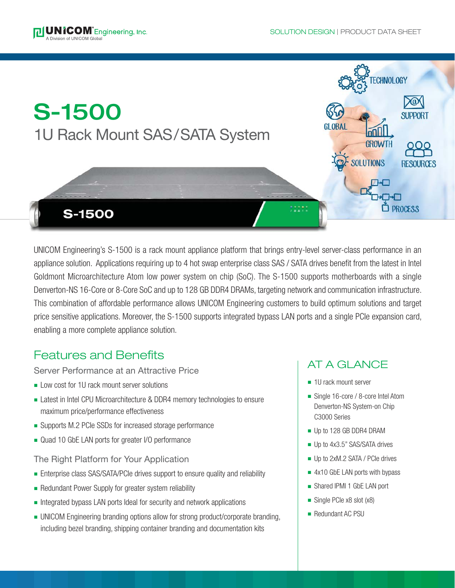



UNICOM Engineering's S-1500 is a rack mount appliance platform that brings entry-level server-class performance in an appliance solution. Applications requiring up to 4 hot swap enterprise class SAS / SATA drives benefit from the latest in Intel Goldmont Microarchitecture Atom low power system on chip (SoC). The S-1500 supports motherboards with a single Denverton-NS 16-Core or 8-Core SoC and up to 128 GB DDR4 DRAMs, targeting network and communication infrastructure. This combination of affordable performance allows UNICOM Engineering customers to build optimum solutions and target price sensitive applications. Moreover, the S-1500 supports integrated bypass LAN ports and a single PCIe expansion card, enabling a more complete appliance solution.

### Features and Benefits

Server Performance at an Attractive Price

- **EXECUTE:** Low cost for 1U rack mount server solutions
- Latest in Intel CPU Microarchitecture & DDR4 memory technologies to ensure maximum price/performance effectiveness
- Supports M.2 PCIe SSDs for increased storage performance
- Quad 10 GbE LAN ports for greater I/O performance

The Right Platform for Your Application

- **Enterprise class SAS/SATA/PCIe drives support to ensure quality and reliability**
- Redundant Power Supply for greater system reliability
- Integrated bypass LAN ports Ideal for security and network applications
- UNICOM Engineering branding options allow for strong product/corporate branding, including bezel branding, shipping container branding and documentation kits

### AT A GLANCE

- $\blacksquare$  1U rack mount server
- Single 16-core / 8-core Intel Atom Denverton-NS System-on Chip C3000 Series
- Up to 128 GB DDR4 DRAM
- Up to 4x3.5" SAS/SATA drives
- Up to 2xM.2 SATA / PCIe drives
- $\blacksquare$  4x10 GbE LAN ports with bypass
- **n** Shared IPMI 1 GbE LAN port
- $\blacksquare$  Single PCIe x8 slot (x8)
- Redundant AC PSU